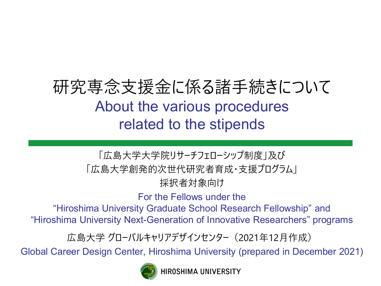# 研究専念支援金に係る諸手続きについて About the various procedures related to the stipends

#### 「広島大学大学院リサーチフェローシップ制度」及び 「広島大学創発的次世代研究者育成・支援プログラム」 採択者対象向け

For the Fellows under the

"Hiroshima University Graduate School Research Fellowship" and "Hiroshima University Next-Generation of Innovative Researchers" programs

広島大学 グローバルキャリアデザインセンター(2021年12月作成)

Global Career Design Center, Hiroshima University (prepared in December 2021)



HIROSHIMA UNIVERSITY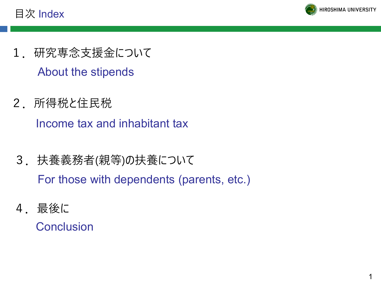目次 Index



- 1. 研究専念支援金について About the stipends
- 2.所得税と住民税

Income tax and inhabitant tax

3.扶養義務者(親等)の扶養について

For those with dependents (parents, etc.)

4.最後に

**Conclusion**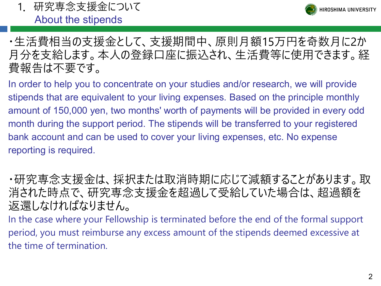



#### ・生活費相当の支援金として、支援期間中、原則月額15万円を奇数月に2か 月分を支給します。本人の登録口座に振込され、生活費等に使用できます。経 費報告は不要です。

In order to help you to concentrate on your studies and/or research, we will provide stipends that are equivalent to your living expenses. Based on the principle monthly amount of 150,000 yen, two months' worth of payments will be provided in every odd month during the support period. The stipends will be transferred to your registered bank account and can be used to cover your living expenses, etc. No expense reporting is required.

・研究専念支援金は、採択または取消時期に応じて減額することがあります。取 消された時点で、研究専念支援金を超過して受給していた場合は、超過額を 返還しなければなりません。

In the case where your Fellowship is terminated before the end of the formal support period, you must reimburse any excess amount of the stipends deemed excessive at the time of termination.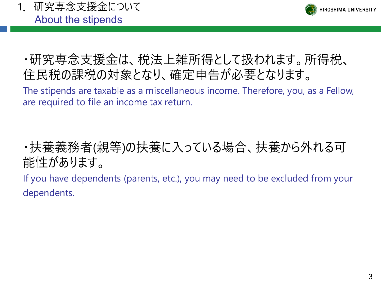1.研究専念支援金について About the stipends



# ・研究専念支援金は、税法上雑所得として扱われます。所得税、 住民税の課税の対象となり、確定申告が必要となります。

The stipends are taxable as a miscellaneous income. Therefore, you, as a Fellow, are required to file an income tax return.

# ・扶養義務者(親等)の扶養に入っている場合、扶養から外れる可 能性があります。

If you have dependents (parents, etc.), you may need to be excluded from your dependents.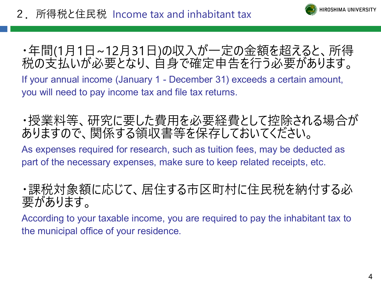

## ・年間(1月1日~12月31日)の収入が一定の金額を超えると、所得 税の支払いが必要となり、自身で確定申告を行う必要があります。

If your annual income (January 1 - December 31) exceeds a certain amount, you will need to pay income tax and file tax returns.

## ・授業料等、研究に要した費用を必要経費として控除される場合が ありますので、関係する領収書等を保存しておいてください。

As expenses required for research, such as tuition fees, may be deducted as part of the necessary expenses, make sure to keep related receipts, etc.

## ・課税対象額に応じて、居住する市区町村に住民税を納付する必 要があります。

According to your taxable income, you are required to pay the inhabitant tax to the municipal office of your residence.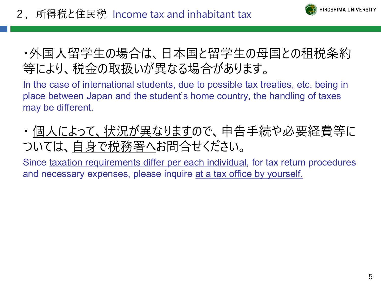

## ・外国人留学生の場合は、日本国と留学生の母国との租税条約 等により、税金の取扱いが異なる場合があります。

In the case of international students, due to possible tax treaties, etc. being in place between Japan and the student's home country, the handling of taxes may be different.

・ 個人によって、状況が異なりますので、申告手続や必要経費等に ついては、自身で税務署へお問合せください。

Since taxation requirements differ per each individual, for tax return procedures and necessary expenses, please inquire at a tax office by yourself.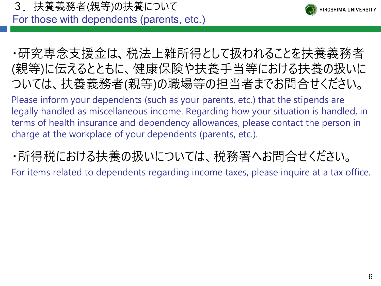3.扶養義務者(親等)の扶養について



For those with dependents (parents, etc.)

・研究専念支援金は、税法上雑所得として扱われることを扶養義務者 (親等)に伝えるとともに、健康保険や扶養手当等における扶養の扱いに ついては、扶養義務者(親等)の職場等の担当者までお問合せください。

Please inform your dependents (such as your parents, etc.) that the stipends are legally handled as miscellaneous income. Regarding how your situation is handled, in terms of health insurance and dependency allowances, please contact the person in charge at the workplace of your dependents (parents, etc.).

・所得税における扶養の扱いについては、税務署へお問合せください。

For items related to dependents regarding income taxes, please inquire at a tax office.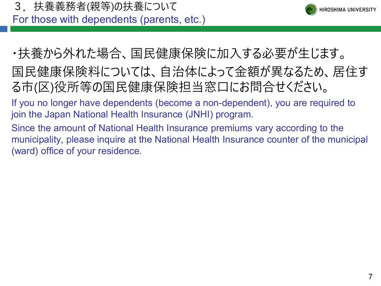3.扶養義務者(親等)の扶養について

For those with dependents (parents, etc.)



- ・扶養から外れた場合、国民健康保険に加入する必要が生じます。
- 国民健康保険料については、自治体によって金額が異なるため、居住す る市(区)役所等の国民健康保険担当窓口にお問合せください。
- If you no longer have dependents (become a non-dependent), you are required to join the Japan National Health Insurance (JNHI) program.
- Since the amount of National Health Insurance premiums vary according to the municipality, please inquire at the National Health Insurance counter of the municipal (ward) office of your residence.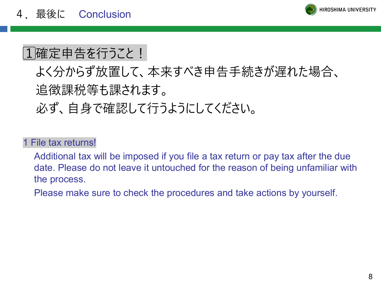

# 1確定申告を行うこと!

よく分からず放置して、本来すべき申告手続きが遅れた場合、 追徴課税等も課されます。

必ず、自身で確認して行うようにしてください。

#### 1 File tax returns!

Additional tax will be imposed if you file a tax return or pay tax after the due date. Please do not leave it untouched for the reason of being unfamiliar with the process.

Please make sure to check the procedures and take actions by yourself.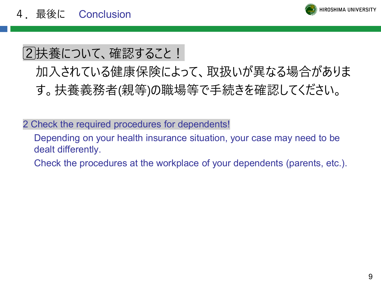

# 2|扶養について、確認すること!

# 加入されている健康保険によって、取扱いが異なる場合がありま す。扶養義務者(親等)の職場等で手続きを確認してください。

2 Check the required procedures for dependents!

Depending on your health insurance situation, your case may need to be dealt differently.

Check the procedures at the workplace of your dependents (parents, etc.).